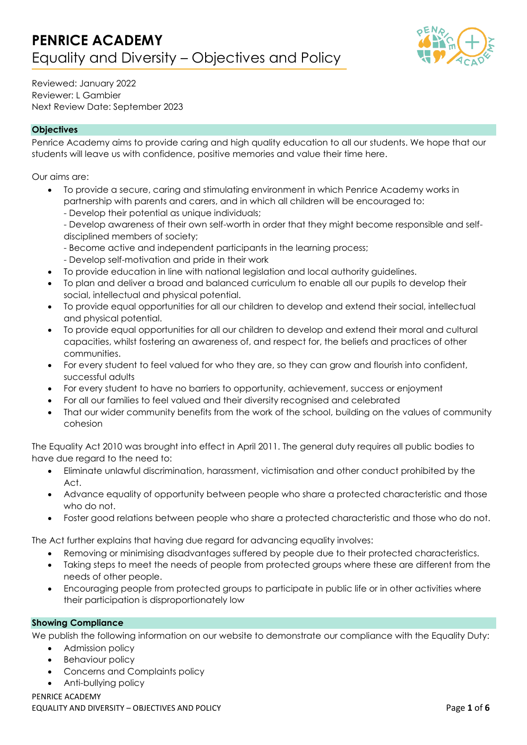

Reviewed: January 2022 Reviewer: L Gambier Next Review Date: September 2023

# **Objectives**

Penrice Academy aims to provide caring and high quality education to all our students. We hope that our students will leave us with confidence, positive memories and value their time here.

Our aims are:

- To provide a secure, caring and stimulating environment in which Penrice Academy works in partnership with parents and carers, and in which all children will be encouraged to:
	- Develop their potential as unique individuals;
	- Develop awareness of their own self-worth in order that they might become responsible and selfdisciplined members of society;
	- Become active and independent participants in the learning process;
	- Develop self-motivation and pride in their work
- To provide education in line with national legislation and local authority guidelines.
- To plan and deliver a broad and balanced curriculum to enable all our pupils to develop their social, intellectual and physical potential.
- To provide equal opportunities for all our children to develop and extend their social, intellectual and physical potential.
- To provide equal opportunities for all our children to develop and extend their moral and cultural capacities, whilst fostering an awareness of, and respect for, the beliefs and practices of other communities.
- For every student to feel valued for who they are, so they can grow and flourish into confident, successful adults
- For every student to have no barriers to opportunity, achievement, success or enjoyment
- For all our families to feel valued and their diversity recognised and celebrated
- That our wider community benefits from the work of the school, building on the values of community cohesion

The Equality Act 2010 was brought into effect in April 2011. The general duty requires all public bodies to have due regard to the need to:

- Eliminate unlawful discrimination, harassment, victimisation and other conduct prohibited by the Act.
- Advance equality of opportunity between people who share a protected characteristic and those who do not.
- Foster good relations between people who share a protected characteristic and those who do not.

The Act further explains that having due regard for advancing equality involves:

- Removing or minimising disadvantages suffered by people due to their protected characteristics.
- Taking steps to meet the needs of people from protected groups where these are different from the needs of other people.
- Encouraging people from protected groups to participate in public life or in other activities where their participation is disproportionately low

# **Showing Compliance**

We publish the following information on our website to demonstrate our compliance with the Equality Duty:

- Admission policy
- Behaviour policy
- Concerns and Complaints policy
- Anti-bullying policy

### PENRICE ACADEMY

EQUALITY AND DIVERSITY – OBJECTIVES AND POLICY Page **1** of **6**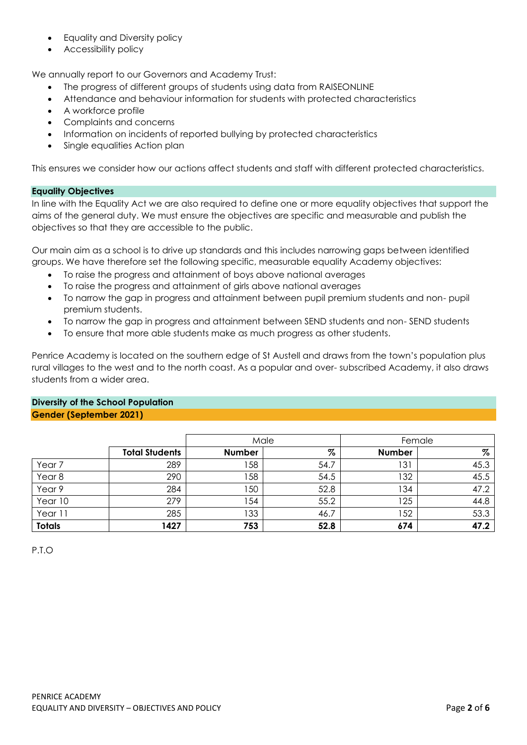- Equality and Diversity policy
- Accessibility policy

We annually report to our Governors and Academy Trust:

- The progress of different groups of students using data from RAISEONLINE
- Attendance and behaviour information for students with protected characteristics
- A workforce profile
- Complaints and concerns
- Information on incidents of reported bullying by protected characteristics
- Single equalities Action plan

This ensures we consider how our actions affect students and staff with different protected characteristics.

### **Equality Objectives**

In line with the Equality Act we are also required to define one or more equality objectives that support the aims of the general duty. We must ensure the objectives are specific and measurable and publish the objectives so that they are accessible to the public.

Our main aim as a school is to drive up standards and this includes narrowing gaps between identified groups. We have therefore set the following specific, measurable equality Academy objectives:

- To raise the progress and attainment of boys above national averages
- To raise the progress and attainment of girls above national averages
- To narrow the gap in progress and attainment between pupil premium students and non- pupil premium students.
- To narrow the gap in progress and attainment between SEND students and non- SEND students
- To ensure that more able students make as much progress as other students.

Penrice Academy is located on the southern edge of St Austell and draws from the town's population plus rural villages to the west and to the north coast. As a popular and over- subscribed Academy, it also draws students from a wider area.

# **Diversity of the School Population Gender (September 2021)**

|                   |                       |               | Male | Female        |      |  |  |  |
|-------------------|-----------------------|---------------|------|---------------|------|--|--|--|
|                   | <b>Total Students</b> | <b>Number</b> | $\%$ | <b>Number</b> | $\%$ |  |  |  |
| Year <sub>7</sub> | 289                   | 58            | 54.7 | 131           | 45.3 |  |  |  |
| Year <sub>8</sub> | 290                   | 58            | 54.5 | 32            | 45.5 |  |  |  |
| Year 9            | 284                   | 50            | 52.8 | 134           | 47.2 |  |  |  |
| Year 10           | 279                   | 54            | 55.2 | 125           | 44.8 |  |  |  |
| Year 11           | 285                   | 33            | 46.7 | 52            | 53.3 |  |  |  |
| <b>Totals</b>     | 1427                  | 753           | 52.8 | 674           | 47.2 |  |  |  |

P.T.O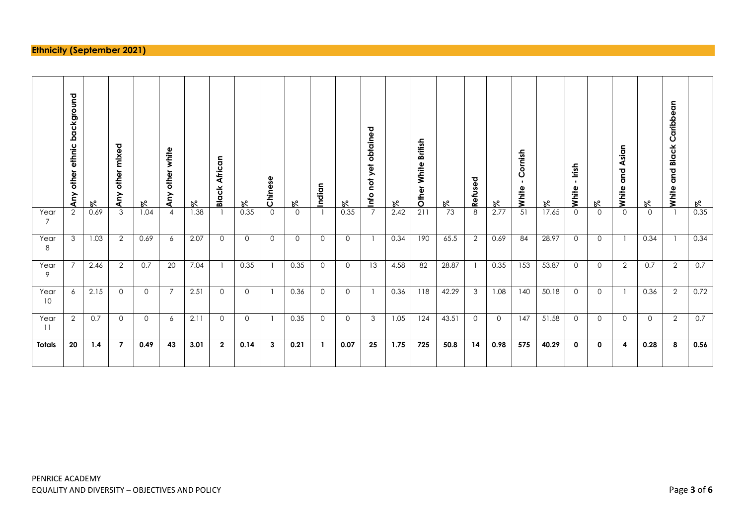# **Ethnicity (September 2021)**

────────

──────

┯

┯

┬

Т

┱

┬

┬

┬

Т

┱

┯

┬

┬

┬

┬

┬

┬

┱

┑

┳

|            | background<br>ethnic<br>other<br>Any | K    | mixed<br>other<br>≧<br>⋖ | $\aleph$ | white<br>other<br>Any | R.   | African<br><b>Black</b> | R,          | Chinese      | $\aleph$ | Indian   | R,          | obtained<br>not yet<br><u>Info</u> | R.   | <b>British</b><br>White<br>Other | R,    | Refused        | ۴б      | ornish<br>ပ<br>White | R,    | lrish<br>$\blacksquare$<br>White | ۴б          | Asian<br>gub<br>White | R,       | Caribbean<br><b>Black</b><br>and<br>White | R,   |
|------------|--------------------------------------|------|--------------------------|----------|-----------------------|------|-------------------------|-------------|--------------|----------|----------|-------------|------------------------------------|------|----------------------------------|-------|----------------|---------|----------------------|-------|----------------------------------|-------------|-----------------------|----------|-------------------------------------------|------|
| Year<br>7  | $\overline{2}$                       | 0.69 | 3                        | 1.04     | 4                     | 1.38 |                         | 0.35        | $\Omega$     | $\Omega$ |          | 0.35        | $\overline{7}$                     | 2.42 | 211                              | 73    | 8              | 2.77    | 51                   | 17.65 | $\Omega$                         | $\Omega$    | $\Omega$              | $\Omega$ |                                           | 0.35 |
| Year<br>8  | 3                                    | 1.03 | $\overline{2}$           | 0.69     | 6                     | 2.07 | $\circ$                 | $\Omega$    | $\mathbf{0}$ | $\Omega$ | $\Omega$ | $\mathbf 0$ |                                    | 0.34 | 190                              | 65.5  | $\overline{2}$ | 0.69    | 84                   | 28.97 | $\Omega$                         | $\circ$     |                       | 0.34     |                                           | 0.34 |
| Year<br>9  |                                      | 2.46 | $\overline{2}$           | 0.7      | 20                    | 7.04 |                         | 0.35        |              | 0.35     | $\Omega$ | $\Omega$    | 13                                 | 4.58 | 82                               | 28.87 |                | 0.35    | 153                  | 53.87 | $\Omega$                         | $\Omega$    | $\overline{2}$        | 0.7      | $\overline{2}$                            | 0.7  |
| Year<br>10 | 6                                    | 2.15 | $\Omega$                 | $\Omega$ | $\overline{7}$        | 2.51 | $\circ$                 | $\mathbf 0$ |              | 0.36     | $\Omega$ | $\mathbf 0$ |                                    | 0.36 | 118                              | 42.29 | 3              | 1.08    | 140                  | 50.18 | $\Omega$                         | $\circ$     |                       | 0.36     | 2                                         | 0.72 |
| Year<br>11 | $\overline{2}$                       | 0.7  | $\Omega$                 | $\Omega$ | 6                     | 2.11 | $\Omega$                | $\Omega$    |              | 0.35     | $\Omega$ | $\Omega$    | 3                                  | 1.05 | 124                              | 43.51 | $\Omega$       | $\circ$ | 147                  | 51.58 | $\Omega$                         | $\Omega$    | $\Omega$              | $\Omega$ | $\overline{2}$                            | 0.7  |
| Totals     | 20                                   | 1.4  | $\overline{7}$           | 0.49     | 43                    | 3.01 | $\overline{2}$          | 0.14        | 3            | 0.21     |          | 0.07        | 25                                 | 1.75 | 725                              | 50.8  | 14             | 0.98    | 575                  | 40.29 | 0                                | $\mathbf 0$ | 4                     | 0.28     | 8                                         | 0.56 |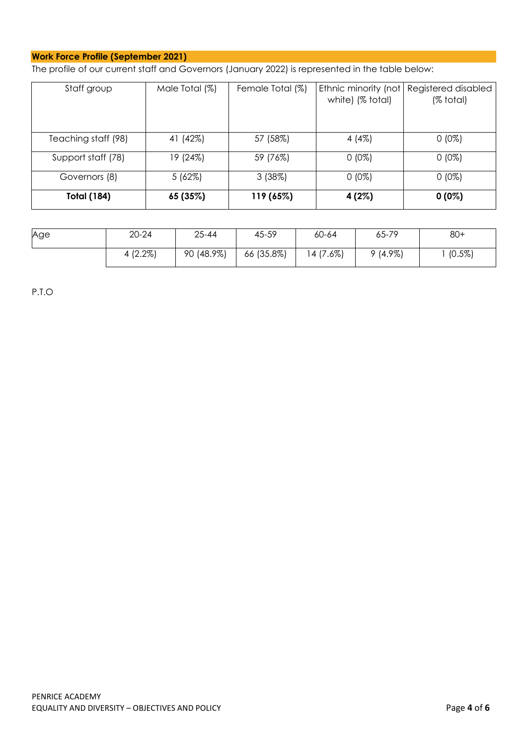# **Work Force Profile (September 2021)**

The profile of our current staff and Governors (January 2022) is represented in the table below:

| Staff group         | Male Total (%) | Female Total (%) | Ethnic minority (not<br>white) (% total) | Registered disabled<br>(% total) |  |  |  |
|---------------------|----------------|------------------|------------------------------------------|----------------------------------|--|--|--|
|                     |                |                  |                                          |                                  |  |  |  |
|                     |                |                  |                                          |                                  |  |  |  |
| Teaching staff (98) | 41 (42%)       | 57 (58%)         | 4 $(4%)$                                 | $0(0\%)$                         |  |  |  |
| Support staff (78)  | 19 (24%)       | 59 (76%)         | $0(0\%)$                                 | $0(0\%)$                         |  |  |  |
| Governors (8)       | 5(62%)         | 3(38%)           | $0(0\%)$                                 | $0(0\%)$                         |  |  |  |
| <b>Total (184)</b>  | 65 (35%)       | 119 (65%)        | 4 (2%)                                   | $0(0\%)$                         |  |  |  |

| Age | $20 - 24$  | $25 - 44$  | 45-59      | 60-64     | 65-79      | $80+$     |  |  |
|-----|------------|------------|------------|-----------|------------|-----------|--|--|
|     | $4(2.2\%)$ | 90 (48.9%) | 66 (35.8%) | 14 (7.6%) | $9(4.9\%)$ | $(0.5\%)$ |  |  |

P.T.O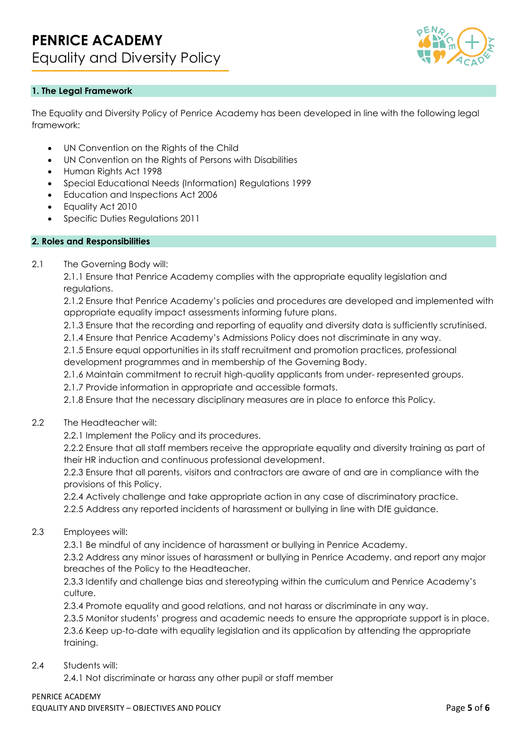

# **1. The Legal Framework**

The Equality and Diversity Policy of Penrice Academy has been developed in line with the following legal framework:

- UN Convention on the Rights of the Child
- UN Convention on the Rights of Persons with Disabilities
- Human Rights Act 1998
- Special Educational Needs (Information) Regulations 1999
- Education and Inspections Act 2006
- Equality Act 2010
- Specific Duties Regulations 2011

#### **2. Roles and Responsibilities**

2.1 The Governing Body will:

2.1.1 Ensure that Penrice Academy complies with the appropriate equality legislation and regulations.

2.1.2 Ensure that Penrice Academy's policies and procedures are developed and implemented with appropriate equality impact assessments informing future plans.

2.1.3 Ensure that the recording and reporting of equality and diversity data is sufficiently scrutinised.

2.1.4 Ensure that Penrice Academy's Admissions Policy does not discriminate in any way.

2.1.5 Ensure equal opportunities in its staff recruitment and promotion practices, professional development programmes and in membership of the Governing Body.

2.1.6 Maintain commitment to recruit high-quality applicants from under- represented groups.

2.1.7 Provide information in appropriate and accessible formats.

2.1.8 Ensure that the necessary disciplinary measures are in place to enforce this Policy.

### 2.2 The Headteacher will:

2.2.1 Implement the Policy and its procedures.

2.2.2 Ensure that all staff members receive the appropriate equality and diversity training as part of their HR induction and continuous professional development.

2.2.3 Ensure that all parents, visitors and contractors are aware of and are in compliance with the provisions of this Policy.

2.2.4 Actively challenge and take appropriate action in any case of discriminatory practice.

2.2.5 Address any reported incidents of harassment or bullying in line with DfE guidance.

2.3 Employees will:

2.3.1 Be mindful of any incidence of harassment or bullying in Penrice Academy.

2.3.2 Address any minor issues of harassment or bullying in Penrice Academy. and report any major breaches of the Policy to the Headteacher.

2.3.3 Identify and challenge bias and stereotyping within the curriculum and Penrice Academy's culture.

2.3.4 Promote equality and good relations, and not harass or discriminate in any way.

2.3.5 Monitor students' progress and academic needs to ensure the appropriate support is in place. 2.3.6 Keep up-to-date with equality legislation and its application by attending the appropriate training.

### 2.4 Students will:

2.4.1 Not discriminate or harass any other pupil or staff member